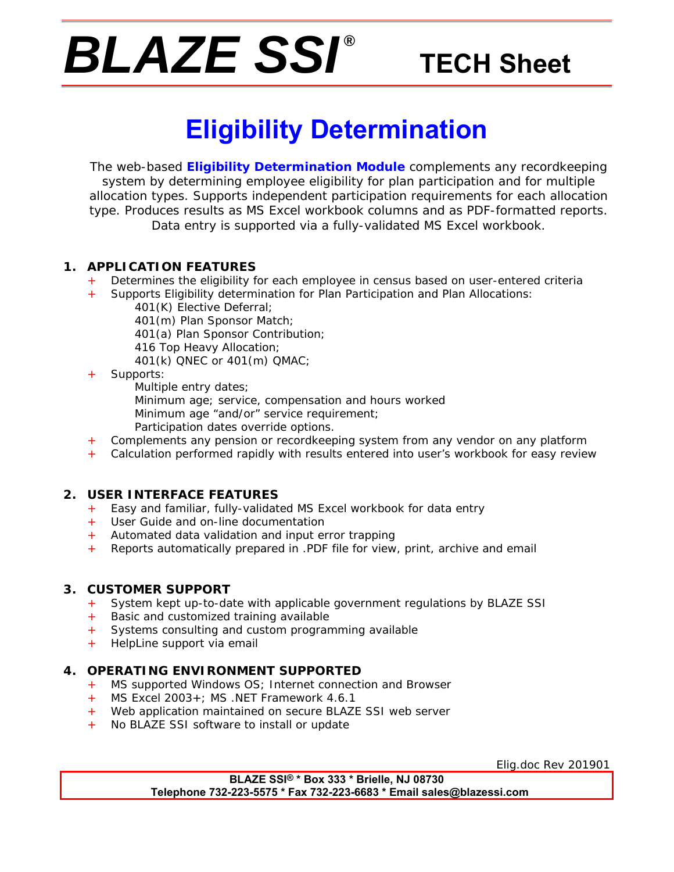# *BLAZE SSI ®*

## **TECH Sheet**

## **Eligibility Determination**

The web-based **Eligibility Determination Module** complements any recordkeeping system by determining employee eligibility for plan participation and for multiple allocation types. Supports independent participation requirements for each allocation type. Produces results as MS Excel workbook columns and as PDF-formatted reports. Data entry is supported via a fully-validated MS Excel workbook.

#### **1. APPLICATION FEATURES**

- Determines the eligibility for each employee in census based on user-entered criteria
- + Supports Eligibility determination for Plan Participation and Plan Allocations:
	- 401(K) Elective Deferral;
	- 401(m) Plan Sponsor Match;
	- 401(a) Plan Sponsor Contribution;
	- 416 Top Heavy Allocation;
	- 401(k) QNEC or 401(m) QMAC;
- Supports:
	- Multiple entry dates;
	- Minimum age; service, compensation and hours worked
	- Minimum age "and/or" service requirement;
	- Participation dates override options.
- Complements any pension or recordkeeping system from any vendor on any platform
- + Calculation performed rapidly with results entered into user's workbook for easy review

#### **2. USER INTERFACE FEATURES**

- + Easy and familiar, fully-validated MS Excel workbook for data entry
- + User Guide and on-line documentation
- + Automated data validation and input error trapping
- + Reports automatically prepared in .PDF file for view, print, archive and email

#### **3. CUSTOMER SUPPORT**

- System kept up-to-date with applicable government regulations by BLAZE SSI
- + Basic and customized training available
- + Systems consulting and custom programming available
- + HelpLine support via email

#### **4. OPERATING ENVIRONMENT SUPPORTED**

- MS supported Windows OS; Internet connection and Browser
- + MS Excel 2003+; MS .NET Framework 4.6.1
- + Web application maintained on secure BLAZE SSI web server
- + No BLAZE SSI software to install or update

Elig.doc Rev 201901